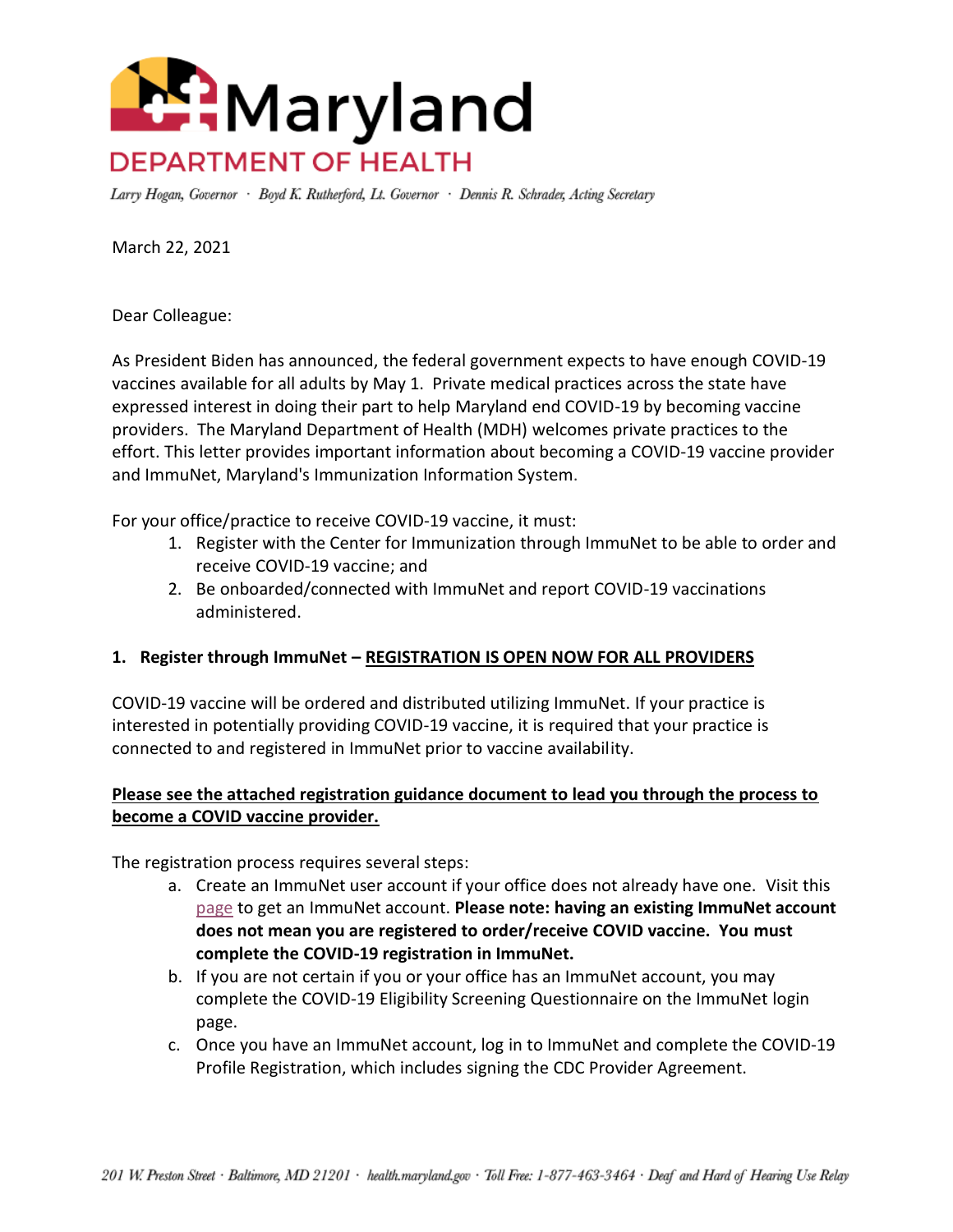

Larry Hogan, Governor · Boyd K. Rutherford, Lt. Governor · Dennis R. Schrader, Acting Secretary

March 22, 2021

Dear Colleague:

As President Biden has announced, the federal government expects to have enough COVID-19 vaccines available for all adults by May 1. Private medical practices across the state have expressed interest in doing their part to help Maryland end COVID-19 by becoming vaccine providers. The Maryland Department of Health (MDH) welcomes private practices to the effort. This letter provides important information about becoming a COVID-19 vaccine provider and ImmuNet, Maryland's Immunization Information System.

For your office/practice to receive COVID-19 vaccine, it must:

- 1. Register with the Center for Immunization through ImmuNet to be able to order and receive COVID-19 vaccine; and
- 2. Be onboarded/connected with ImmuNet and report COVID-19 vaccinations administered.

## **1. Register through ImmuNet – REGISTRATION IS OPEN NOW FOR ALL PROVIDERS**

COVID-19 vaccine will be ordered and distributed utilizing ImmuNet. If your practice is interested in potentially providing COVID-19 vaccine, it is required that your practice is connected to and registered in ImmuNet prior to vaccine availability.

## **Please see the attached registration guidance document to lead you through the process to become a COVID vaccine provider.**

The registration process requires several steps:

- a. Create an ImmuNet user account if your office does not already have one. Visit this [page](https://phpa.health.maryland.gov/OIDEOR/IMMUN/Pages/providerenrollmentform.aspx) to get an ImmuNet account. **Please note: having an existing ImmuNet account does not mean you are registered to order/receive COVID vaccine. You must complete the COVID-19 registration in ImmuNet.**
- b. If you are not certain if you or your office has an ImmuNet account, you may complete the COVID-19 Eligibility Screening Questionnaire on the ImmuNet login page.
- c. Once you have an ImmuNet account, log in to ImmuNet and complete the COVID-19 Profile Registration, which includes signing the CDC Provider Agreement.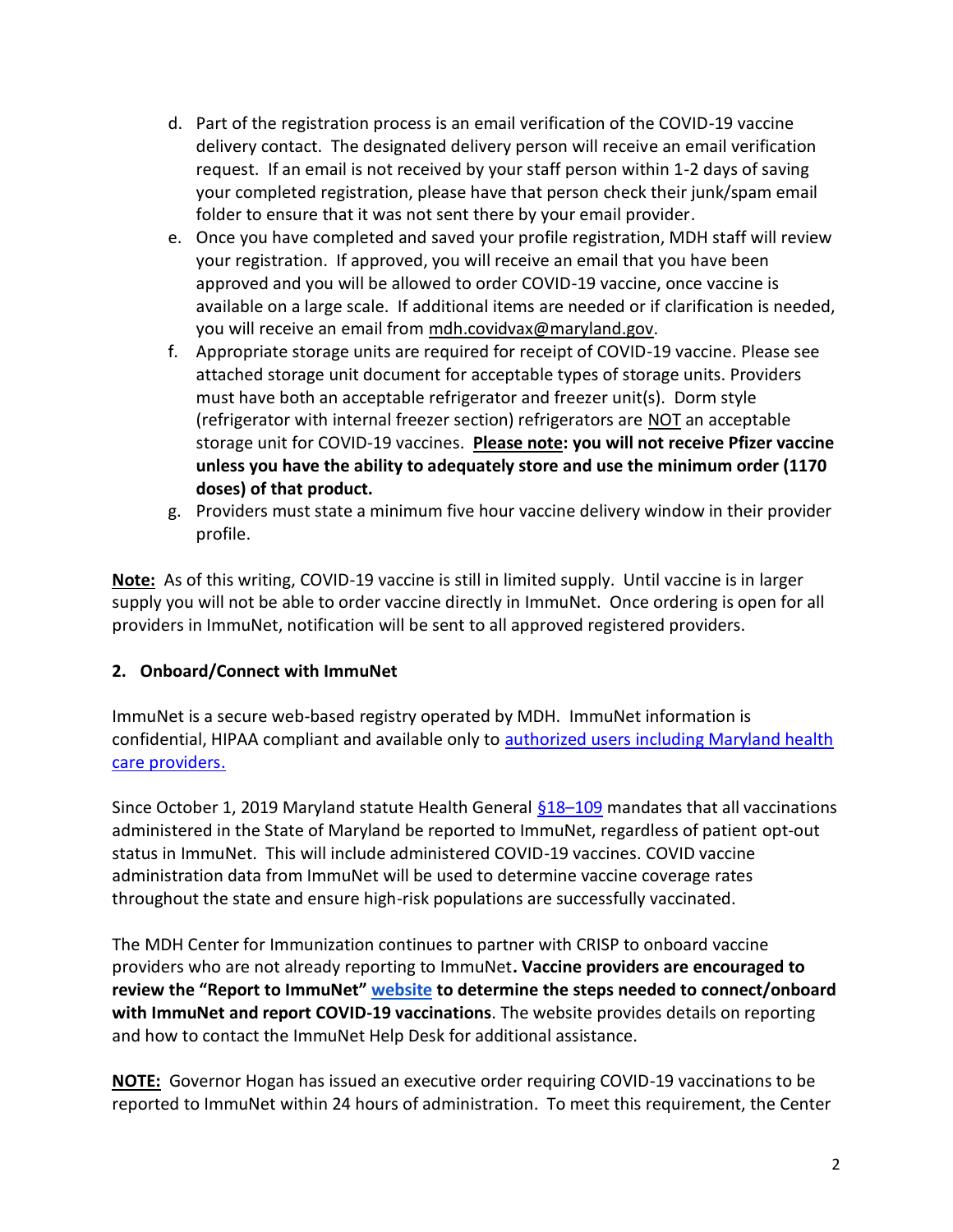- d. Part of the registration process is an email verification of the COVID-19 vaccine delivery contact. The designated delivery person will receive an email verification request. If an email is not received by your staff person within 1-2 days of saving your completed registration, please have that person check their junk/spam email folder to ensure that it was not sent there by your email provider.
- e. Once you have completed and saved your profile registration, MDH staff will review your registration. If approved, you will receive an email that you have been approved and you will be allowed to order COVID-19 vaccine, once vaccine is available on a large scale. If additional items are needed or if clarification is needed, you will receive an email from mdh.covidvax@maryland.gov.
- f. Appropriate storage units are required for receipt of COVID-19 vaccine. Please see attached storage unit document for acceptable types of storage units. Providers must have both an acceptable refrigerator and freezer unit(s). Dorm style (refrigerator with internal freezer section) refrigerators are NOT an acceptable storage unit for COVID-19 vaccines. **Please note: you will not receive Pfizer vaccine unless you have the ability to adequately store and use the minimum order (1170 doses) of that product.**
- g. Providers must state a minimum five hour vaccine delivery window in their provider profile.

**Note:** As of this writing, COVID-19 vaccine is still in limited supply. Until vaccine is in larger supply you will not be able to order vaccine directly in ImmuNet. Once ordering is open for all providers in ImmuNet, notification will be sent to all approved registered providers.

## **2. Onboard/Connect with ImmuNet**

ImmuNet is a secure web-based registry operated by MDH. ImmuNet information is confidential, HIPAA compliant and available only to [authorized users including Maryland health](http://mgaleg.maryland.gov/mgawebsite/Laws/StatuteText?article=ghg§ion=18-109&enactments=false)  [care providers.](http://mgaleg.maryland.gov/mgawebsite/Laws/StatuteText?article=ghg§ion=18-109&enactments=false)

Since October 1, 2019 Maryland statute Health General [§18](http://mgaleg.maryland.gov/mgawebsite/Laws/StatuteText?article=ghg§ion=18-109&enactments=false)–109 mandates that all vaccinations administered in the State of Maryland be reported to ImmuNet, regardless of patient opt-out status in ImmuNet. This will include administered COVID-19 vaccines. COVID vaccine administration data from ImmuNet will be used to determine vaccine coverage rates throughout the state and ensure high-risk populations are successfully vaccinated.

The MDH Center for Immunization continues to partner with CRISP to onboard vaccine providers who are not already reporting to ImmuNet**. Vaccine providers are encouraged to review the "Report to ImmuNet" [website](https://phpa.health.maryland.gov/OIDEOR/IMMUN/Pages/immunet-reporting.aspx) to determine the steps needed to connect/onboard with ImmuNet and report COVID-19 vaccinations**. The website provides details on reporting and how to contact the ImmuNet Help Desk for additional assistance.

**NOTE:** Governor Hogan has issued an executive order requiring COVID-19 vaccinations to be reported to ImmuNet within 24 hours of administration. To meet this requirement, the Center